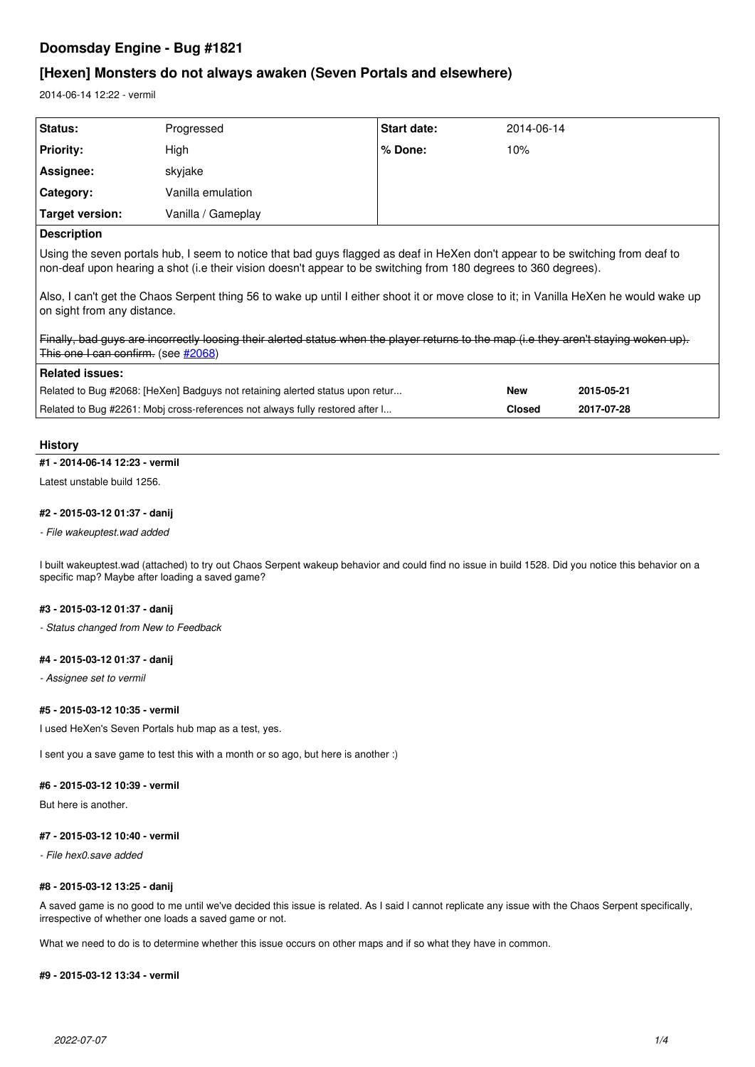# **Doomsday Engine - Bug #1821**

# **[Hexen] Monsters do not always awaken (Seven Portals and elsewhere)**

2014-06-14 12:22 - vermil

| <b>Status:</b>                                                                                                                                                                                                                                    | Progressed         | Start date: | 2014-06-14 |  |  |  |
|---------------------------------------------------------------------------------------------------------------------------------------------------------------------------------------------------------------------------------------------------|--------------------|-------------|------------|--|--|--|
| <b>Priority:</b>                                                                                                                                                                                                                                  | High               | % Done:     | 10%        |  |  |  |
| Assignee:                                                                                                                                                                                                                                         | skyjake            |             |            |  |  |  |
| <b>Category:</b>                                                                                                                                                                                                                                  | Vanilla emulation  |             |            |  |  |  |
| <b>Target version:</b>                                                                                                                                                                                                                            | Vanilla / Gameplay |             |            |  |  |  |
| <b>Description</b>                                                                                                                                                                                                                                |                    |             |            |  |  |  |
| Using the seven portals hub, I seem to notice that bad guys flagged as deaf in HeXen don't appear to be switching from deaf to<br>non-deaf upon hearing a shot (i.e their vision doesn't appear to be switching from 180 degrees to 360 degrees). |                    |             |            |  |  |  |
| Also, I can't get the Chaos Serpent thing 56 to wake up until I either shoot it or move close to it; in Vanilla HeXen he would wake up<br>on sight from any distance.                                                                             |                    |             |            |  |  |  |
| Finally, bad guys are incorrectly loosing their alerted status when the player returns to the map (i.e they aren't staying woken up).<br>This one I can confirm. (see #2068)                                                                      |                    |             |            |  |  |  |

| ⊺Related issues:                                                              |            |            |
|-------------------------------------------------------------------------------|------------|------------|
| Related to Bug #2068: [HeXen] Badguys not retaining alerted status upon retur | <b>New</b> | 2015-05-21 |
| Related to Bug #2261: Mobj cross-references not always fully restored after I | Closed     | 2017-07-28 |

## **History**

### **#1 - 2014-06-14 12:23 - vermil**

Latest unstable build 1256.

# **#2 - 2015-03-12 01:37 - danij**

*- File wakeuptest.wad added*

I built wakeuptest.wad (attached) to try out Chaos Serpent wakeup behavior and could find no issue in build 1528. Did you notice this behavior on a specific map? Maybe after loading a saved game?

# **#3 - 2015-03-12 01:37 - danij**

*- Status changed from New to Feedback*

## **#4 - 2015-03-12 01:37 - danij**

*- Assignee set to vermil*

## **#5 - 2015-03-12 10:35 - vermil**

I used HeXen's Seven Portals hub map as a test, yes.

I sent you a save game to test this with a month or so ago, but here is another :)

## **#6 - 2015-03-12 10:39 - vermil**

But here is another.

#### **#7 - 2015-03-12 10:40 - vermil**

*- File hex0.save added*

#### **#8 - 2015-03-12 13:25 - danij**

A saved game is no good to me until we've decided this issue is related. As I said I cannot replicate any issue with the Chaos Serpent specifically, irrespective of whether one loads a saved game or not.

What we need to do is to determine whether this issue occurs on other maps and if so what they have in common.

#### **#9 - 2015-03-12 13:34 - vermil**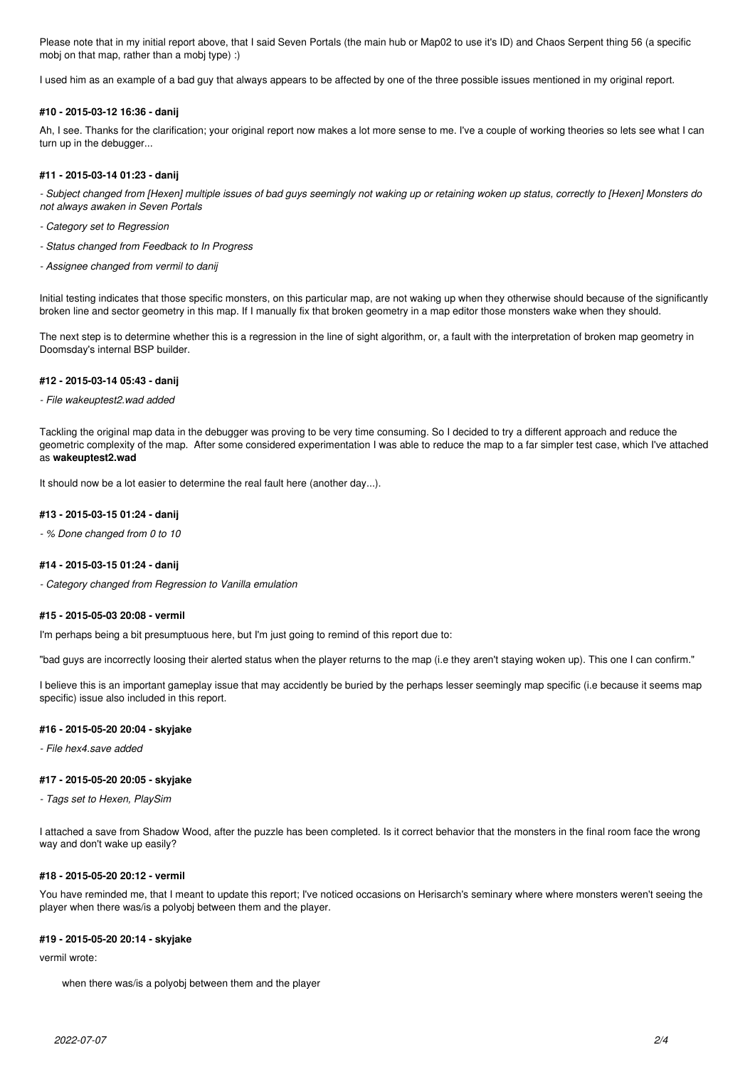Please note that in my initial report above, that I said Seven Portals (the main hub or Map02 to use it's ID) and Chaos Serpent thing 56 (a specific mobj on that map, rather than a mobj type) :)

I used him as an example of a bad guy that always appears to be affected by one of the three possible issues mentioned in my original report.

### **#10 - 2015-03-12 16:36 - danij**

Ah, I see. Thanks for the clarification; your original report now makes a lot more sense to me. I've a couple of working theories so lets see what I can turn up in the debugger...

## **#11 - 2015-03-14 01:23 - danij**

*- Subject changed from [Hexen] multiple issues of bad guys seemingly not waking up or retaining woken up status, correctly to [Hexen] Monsters do not always awaken in Seven Portals*

- *Category set to Regression*
- *Status changed from Feedback to In Progress*
- *Assignee changed from vermil to danij*

Initial testing indicates that those specific monsters, on this particular map, are not waking up when they otherwise should because of the significantly broken line and sector geometry in this map. If I manually fix that broken geometry in a map editor those monsters wake when they should.

The next step is to determine whether this is a regression in the line of sight algorithm, or, a fault with the interpretation of broken map geometry in Doomsday's internal BSP builder.

#### **#12 - 2015-03-14 05:43 - danij**

#### *- File wakeuptest2.wad added*

Tackling the original map data in the debugger was proving to be very time consuming. So I decided to try a different approach and reduce the geometric complexity of the map. After some considered experimentation I was able to reduce the map to a far simpler test case, which I've attached as **wakeuptest2.wad**

It should now be a lot easier to determine the real fault here (another day...).

#### **#13 - 2015-03-15 01:24 - danij**

*- % Done changed from 0 to 10*

#### **#14 - 2015-03-15 01:24 - danij**

*- Category changed from Regression to Vanilla emulation*

### **#15 - 2015-05-03 20:08 - vermil**

I'm perhaps being a bit presumptuous here, but I'm just going to remind of this report due to:

"bad guys are incorrectly loosing their alerted status when the player returns to the map (i.e they aren't staying woken up). This one I can confirm."

I believe this is an important gameplay issue that may accidently be buried by the perhaps lesser seemingly map specific (i.e because it seems map specific) issue also included in this report.

#### **#16 - 2015-05-20 20:04 - skyjake**

*- File hex4.save added*

## **#17 - 2015-05-20 20:05 - skyjake**

*- Tags set to Hexen, PlaySim*

I attached a save from Shadow Wood, after the puzzle has been completed. Is it correct behavior that the monsters in the final room face the wrong way and don't wake up easily?

## **#18 - 2015-05-20 20:12 - vermil**

You have reminded me, that I meant to update this report; I've noticed occasions on Herisarch's seminary where where monsters weren't seeing the player when there was/is a polyobj between them and the player.

### **#19 - 2015-05-20 20:14 - skyjake**

vermil wrote:

when there was/is a polyobj between them and the player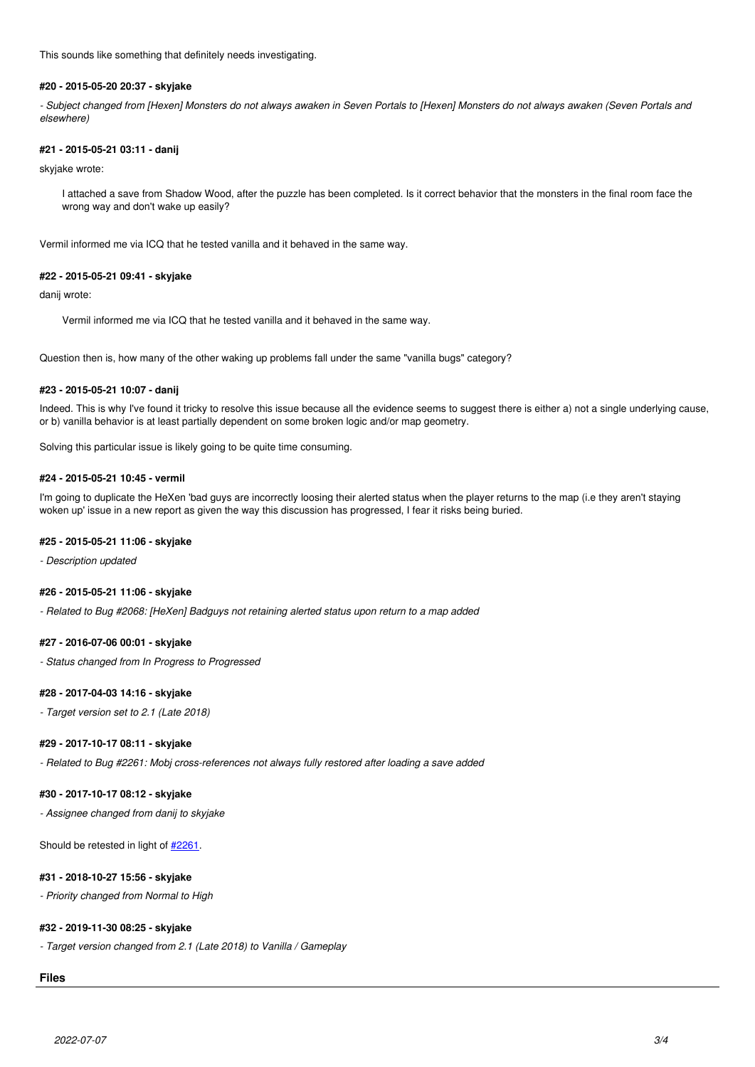This sounds like something that definitely needs investigating.

## **#20 - 2015-05-20 20:37 - skyjake**

*- Subject changed from [Hexen] Monsters do not always awaken in Seven Portals to [Hexen] Monsters do not always awaken (Seven Portals and elsewhere)*

## **#21 - 2015-05-21 03:11 - danij**

skyjake wrote:

I attached a save from Shadow Wood, after the puzzle has been completed. Is it correct behavior that the monsters in the final room face the wrong way and don't wake up easily?

Vermil informed me via ICQ that he tested vanilla and it behaved in the same way.

#### **#22 - 2015-05-21 09:41 - skyjake**

danij wrote:

Vermil informed me via ICQ that he tested vanilla and it behaved in the same way.

Question then is, how many of the other waking up problems fall under the same "vanilla bugs" category?

#### **#23 - 2015-05-21 10:07 - danij**

Indeed. This is why I've found it tricky to resolve this issue because all the evidence seems to suggest there is either a) not a single underlying cause, or b) vanilla behavior is at least partially dependent on some broken logic and/or map geometry.

Solving this particular issue is likely going to be quite time consuming.

## **#24 - 2015-05-21 10:45 - vermil**

I'm going to duplicate the HeXen 'bad guys are incorrectly loosing their alerted status when the player returns to the map (i.e they aren't staying woken up' issue in a new report as given the way this discussion has progressed, I fear it risks being buried.

#### **#25 - 2015-05-21 11:06 - skyjake**

*- Description updated*

## **#26 - 2015-05-21 11:06 - skyjake**

*- Related to Bug #2068: [HeXen] Badguys not retaining alerted status upon return to a map added*

### **#27 - 2016-07-06 00:01 - skyjake**

*- Status changed from In Progress to Progressed*

#### **#28 - 2017-04-03 14:16 - skyjake**

*- Target version set to 2.1 (Late 2018)*

## **#29 - 2017-10-17 08:11 - skyjake**

*- Related to Bug #2261: Mobj cross-references not always fully restored after loading a save added*

# **#30 - 2017-10-17 08:12 - skyjake**

*- Assignee changed from danij to skyjake*

Should be retested in light of  $\frac{\#2261}{426}$  $\frac{\#2261}{426}$  $\frac{\#2261}{426}$ .

# **#31 - 2018-10-27 15:56 - skyjake**

*- Priority changed from Normal to High*

# **#32 - 2019-11-30 08:25 - skyjake**

*- Target version changed from 2.1 (Late 2018) to Vanilla / Gameplay*

## **Files**